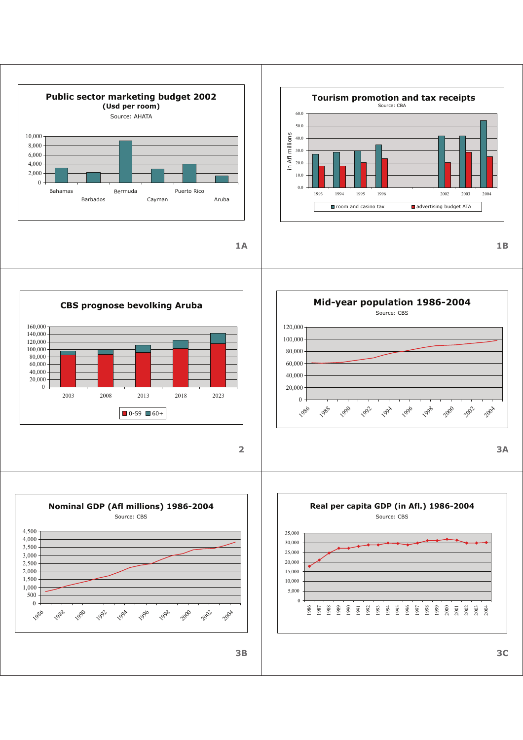